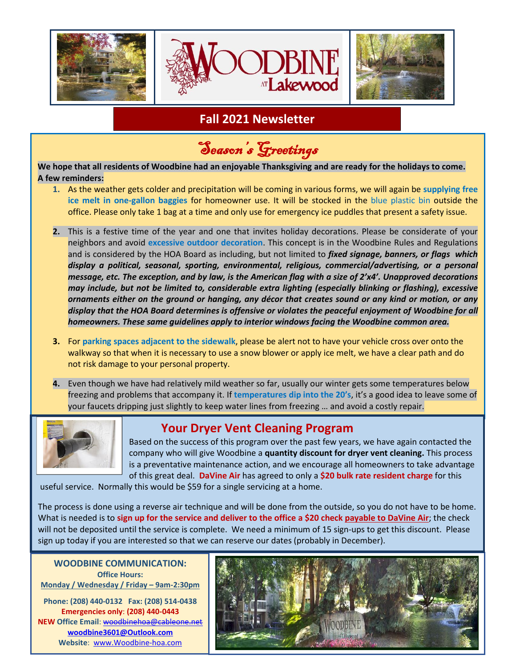

# **Fall 2021 Newsletter**

Season's Greetings

**We hope that all residents of Woodbine had an enjoyable Thanksgiving and are ready for the holidays to come. A few reminders:**

- **1.** As the weather gets colder and precipitation will be coming in various forms, we will again be **supplying free ice melt in one-gallon baggies** for homeowner use. It will be stocked in the blue plastic bin outside the office. Please only take 1 bag at a time and only use for emergency ice puddles that present a safety issue.
- **2.** This is a festive time of the year and one that invites holiday decorations. Please be considerate of your neighbors and avoid **excessive outdoor decoration**. This concept is in the Woodbine Rules and Regulations and is considered by the HOA Board as including, but not limited to *fixed signage, banners, or flags which display a political, seasonal, sporting, environmental, religious, commercial/advertising, or a personal message, etc. The exception, and by law, is the American flag with a size of 2'x4'. Unapproved decorations may include, but not be limited to, considerable extra lighting (especially blinking or flashing), excessive ornaments either on the ground or hanging, any décor that creates sound or any kind or motion, or any display that the HOA Board determines is offensive or violates the peaceful enjoyment of Woodbine for all homeowners. These same guidelines apply to interior windows facing the Woodbine common area.*
- **3.** For **parking spaces adjacent to the sidewalk**, please be alert not to have your vehicle cross over onto the walkway so that when it is necessary to use a snow blower or apply ice melt, we have a clear path and do not risk damage to your personal property.
- **4.** Even though we have had relatively mild weather so far, usually our winter gets some temperatures below freezing and problems that accompany it. If **temperatures dip into the 20's**, it's a good idea to leave some of your faucets dripping just slightly to keep water lines from freezing … and avoid a costly repair.



## **Your Dryer Vent Cleaning Program**

Based on the success of this program over the past few years, we have again contacted the company who will give Woodbine a **quantity discount for dryer vent cleaning.** This process is a preventative maintenance action, and we encourage all homeowners to take advantage of this great deal. **DaVine Air** has agreed to only a **\$20 bulk rate resident charge** for this

useful service. Normally this would be \$59 for a single servicing at a home.

The process is done using a reverse air technique and will be done from the outside, so you do not have to be home. What is needed is to **sign up for the service and deliver to the office a \$20 check payable to DaVine Air**; the check will not be deposited until the service is complete. We need a minimum of 15 sign-ups to get this discount. Please sign up today if you are interested so that we can reserve our dates (probably in December).

**WOODBINE COMMUNICATION: Office Hours: Monday / Wednesday / Friday – 9am-2:30pm**

**Phone: (208) 440-0132 Fax: (208) 514-0438 Emergencies only**: **(208) 440-0443 NEW Office Email**[: woodbinehoa@cableone.net](mailto:woodbinehoa@cableone.net) **woodbine3601@Outlook.com Website**: [www.Woodbine-hoa.com](http://www.woodbine-hoa.com/)

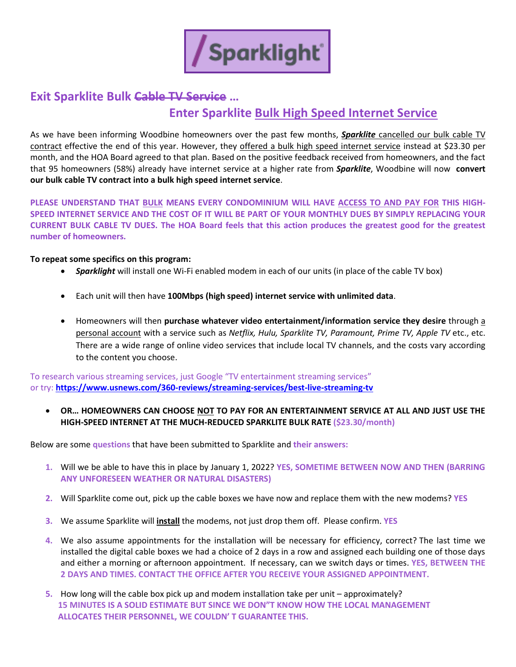

## **Exit Sparklite Bulk Cable TV Service …**

# **Enter Sparklite Bulk High Speed Internet Service**

As we have been informing Woodbine homeowners over the past few months, *Sparklite* cancelled our bulk cable TV contract effective the end of this year. However, they offered a bulk high speed internet service instead at \$23.30 per month, and the HOA Board agreed to that plan. Based on the positive feedback received from homeowners, and the fact that 95 homeowners (58%) already have internet service at a higher rate from *Sparklite*, Woodbine will now **convert our bulk cable TV contract into a bulk high speed internet service**.

**PLEASE UNDERSTAND THAT BULK MEANS EVERY CONDOMINIUM WILL HAVE ACCESS TO AND PAY FOR THIS HIGH-SPEED INTERNET SERVICE AND THE COST OF IT WILL BE PART OF YOUR MONTHLY DUES BY SIMPLY REPLACING YOUR CURRENT BULK CABLE TV DUES. The HOA Board feels that this action produces the greatest good for the greatest number of homeowners.**

#### **To repeat some specifics on this program:**

- *Sparklight* will install one Wi-Fi enabled modem in each of our units (in place of the cable TV box)
- Each unit will then have **100Mbps (high speed) internet service with unlimited data**.
- Homeowners will then **purchase whatever video entertainment/information service they desire** through a personal account with a service such as *Netflix, Hulu, Sparklite TV, Paramount, Prime TV, Apple TV* etc., etc. There are a wide range of online video services that include local TV channels, and the costs vary according to the content you choose.

To research various streaming services, just Google "TV entertainment streaming services" or try: **<https://www.usnews.com/360-reviews/streaming-services/best-live-streaming-tv>**

#### • **OR… HOMEOWNERS CAN CHOOSE NOT TO PAY FOR AN ENTERTAINMENT SERVICE AT ALL AND JUST USE THE HIGH-SPEED INTERNET AT THE MUCH-REDUCED SPARKLITE BULK RATE (\$23.30/month)**

Below are some **questions** that have been submitted to Sparklite and **their answers:**

- **1.** Will we be able to have this in place by January 1, 2022? **YES, SOMETIME BETWEEN NOW AND THEN (BARRING ANY UNFORESEEN WEATHER OR NATURAL DISASTERS)**
- **2.** Will Sparklite come out, pick up the cable boxes we have now and replace them with the new modems? **YES**
- **3.** We assume Sparklite will **install** the modems, not just drop them off. Please confirm. **YES**
- **4.** We also assume appointments for the installation will be necessary for efficiency, correct? The last time we installed the digital cable boxes we had a choice of 2 days in a row and assigned each building one of those days and either a morning or afternoon appointment. If necessary, can we switch days or times. **YES, BETWEEN THE 2 DAYS AND TIMES. CONTACT THE OFFICE AFTER YOU RECEIVE YOUR ASSIGNED APPOINTMENT.**
- **5.** How long will the cable box pick up and modem installation take per unit approximately?  **15 MINUTES IS A SOLID ESTIMATE BUT SINCE WE DON"T KNOW HOW THE LOCAL MANAGEMENT ALLOCATES THEIR PERSONNEL, WE COULDN' T GUARANTEE THIS.**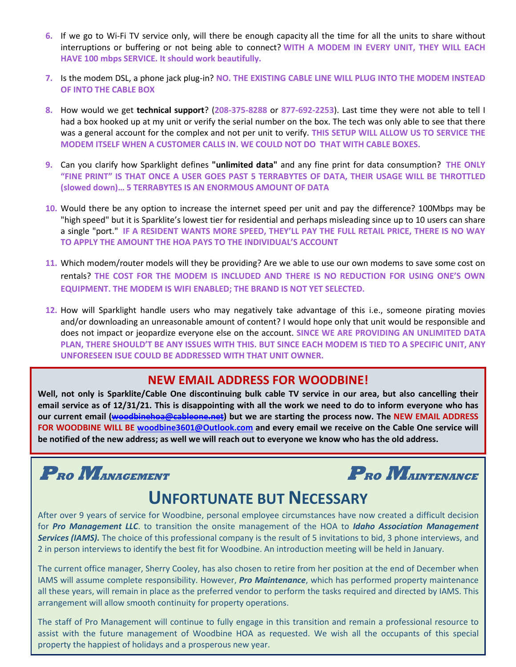- **6.** If we go to Wi-Fi TV service only, will there be enough capacity all the time for all the units to share without interruptions or buffering or not being able to connect? **WITH A MODEM IN EVERY UNIT, THEY WILL EACH HAVE 100 mbps SERVICE. It should work beautifully.**
- **7.** Is the modem DSL, a phone jack plug-in? **NO. THE EXISTING CABLE LINE WILL PLUG INTO THE MODEM INSTEAD OF INTO THE CABLE BOX**
- **8.** How would we get **technical support**? (**208-375-8288** or **877-692-2253**). Last time they were not able to tell I had a box hooked up at my unit or verify the serial number on the box. The tech was only able to see that there was a general account for the complex and not per unit to verify. **THIS SETUP WILL ALLOW US TO SERVICE THE MODEM ITSELF WHEN A CUSTOMER CALLS IN. WE COULD NOT DO THAT WITH CABLE BOXES.**
- **9.** Can you clarify how Sparklight defines **"unlimited data"** and any fine print for data consumption? **THE ONLY "FINE PRINT" IS THAT ONCE A USER GOES PAST 5 TERRABYTES OF DATA, THEIR USAGE WILL BE THROTTLED (slowed down)… 5 TERRABYTES IS AN ENORMOUS AMOUNT OF DATA**
- **10.** Would there be any option to increase the internet speed per unit and pay the difference? 100Mbps may be "high speed" but it is Sparklite's lowest tier for residential and perhaps misleading since up to 10 users can share a single "port." **IF A RESIDENT WANTS MORE SPEED, THEY'LL PAY THE FULL RETAIL PRICE, THERE IS NO WAY TO APPLY THE AMOUNT THE HOA PAYS TO THE INDIVIDUAL'S ACCOUNT**
- **11.** Which modem/router models will they be providing? Are we able to use our own modems to save some cost on rentals? **THE COST FOR THE MODEM IS INCLUDED AND THERE IS NO REDUCTION FOR USING ONE'S OWN EQUIPMENT. THE MODEM IS WIFI ENABLED; THE BRAND IS NOT YET SELECTED.**
- **12.** How will Sparklight handle users who may negatively take advantage of this i.e., someone pirating movies and/or downloading an unreasonable amount of content? I would hope only that unit would be responsible and does not impact or jeopardize everyone else on the account. **SINCE WE ARE PROVIDING AN UNLIMITED DATA PLAN, THERE SHOULD'T BE ANY ISSUES WITH THIS. BUT SINCE EACH MODEM IS TIED TO A SPECIFIC UNIT, ANY UNFORESEEN ISUE COULD BE ADDRESSED WITH THAT UNIT OWNER.**

## **NEW EMAIL ADDRESS FOR WOODBINE!**

**Well, not only is Sparklite/Cable One discontinuing bulk cable TV service in our area, but also cancelling their email service as of 12/31/21. This is disappointing with all the work we need to do to inform everyone who has our current email [\(woodbinehoa@cableone.net\)](mailto:woodbinehoa@cableone.net) but we are starting the process now. The NEW EMAIL ADDRESS FOR WOODBINE WILL BE [woodbine3601@Outlook.com](mailto:woodbine3601@Outlook.com) and every email we receive on the Cable One service will be notified of the new address; as well we will reach out to everyone we know who has the old address.** 



# **UNFORTUNATE BUT NECESSARY**

After over 9 years of service for Woodbine, personal employee circumstances have now created a difficult decision for *Pro Management LLC*. to transition the onsite management of the HOA to *Idaho Association Management Services (IAMS).* The choice of this professional company is the result of 5 invitations to bid, 3 phone interviews, and 2 in person interviews to identify the best fit for Woodbine. An introduction meeting will be held in January.

The current office manager, Sherry Cooley, has also chosen to retire from her position at the end of December when IAMS will assume complete responsibility. However, *Pro Maintenance*, which has performed property maintenance all these years, will remain in place as the preferred vendor to perform the tasks required and directed by IAMS. This arrangement will allow smooth continuity for property operations.

The staff of Pro Management will continue to fully engage in this transition and remain a professional resource to assist with the future management of Woodbine HOA as requested. We wish all the occupants of this special property the happiest of holidays and a prosperous new year.